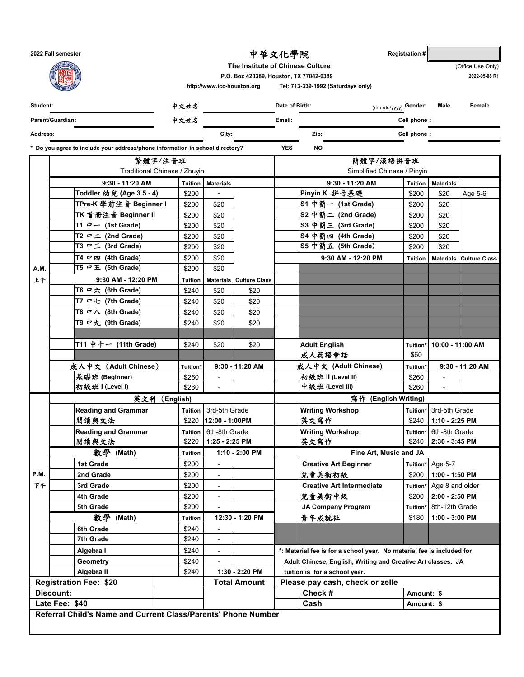**2022 Fall semester Registration #**  中華文化學院 (Office Use Only) **2022-05-08 R1 Student: Date of Birth:** (mm/dd/yyyy) **Gender: Male Female Parent/Guardian: Email: Cell phone : Address: City: Zip: Cell phone : \* Do you agree to include your address/phone information in school directory? YES NO Tuition Materials Tuition Materials 9:30 - 11:20 AM 9:30 - 11:20 AM Toddler 幼兒 (Age 3.5-4) │ \$200 │ - │ Pinyin K 拼音基礎 │ \$200 │ \$20 │ Age 5-6 TPre-K 學前注音 Beginner Ⅰ | \$200 | \$20 | S1 中簡一 (1st Grade) | \$200 | \$20 TK** 首冊注音 **Beginner II** \$200 \$20 **S2** 中簡二 **(2nd Grade)** \$200 \$20 **T1 中一 (1st Grade) | \$200 | \$20 | | S3 中簡三 (3rd Grade) | \$200 | \$20 T2 中二 (2nd Grade) | \$200 | \$20 | | S4 中簡四 (4th Grade) | \$200 | \$20 T3 中三 (3rd Grade) | \$200 | \$20 | | S5 中 簡五 (5th Grade) | \$200 | \$20 T4** 中四 **(4th Grade)** \$200 \$20 **Tuition Materials Culture Class A.M. T5 中五(5th Grade) | \$200 | \$20** 上午 **Tuition Materials Culture Class S7** 中簡七 (7th Grade) \$240 \$20 \$20 **9:30 AM - 12:20 PM T6** 中六 **(6th Grade)** \$240 \$20 \$20 **S8** 中簡八 **(8th Grade)** \$240 \$20 \$20 **T7 中七 (7th Grade) | \$240 | \$20 | \$20 T8** 中八 **(8th Grade)** \$240 \$20 \$20 **S10** 中簡十 (10th Grade) \$240 \$20 \$20 **T9** 中九 **(9th Grade)** \$240 \$20 \$20 **S11** 中簡十一 **(11th Grade)** \$240 \$20 \$20 **T10** 中十 **(10th Grade)** \$240 \$20 \$20 **S12** 中簡十二 **(12th Grade)** \$240 \$20 \$20 **T11** 中十一 **(11th Grade)** \$240 \$20 \$20 **Tuition\* 成人英語會話 \$60 Tuition\* Tuition\*** 基礎班 (Beginner) | \$260 | - | | | | 初級班 II (Level II) | \$260 初級班 **I (Level I)** \$260 - 中級班 **(Level III)** \$260 - **Reading and Grammar Tuition** 3rd-5th Grade **Writing Workshop Tuition\*** 3rd-5th Grade 閱讀與文法 | \$220 |12:00 - 1:00PM | |英文寫作 | \$240 |1:10 - 2:25 PM **Reading and Grammar Tuition** 6th-8th Grade **Writing Workshop Tuition\*** 6th-8th Grade 閱讀與文法 | \$220 | 1:25 - 2:25 PM | |英文寫作 | \$240 | 2:30 - 3:45 PM **Tuition 1st Grade** \$200 - **Creative Art Beginner Tuition\* P.M. 2nd Grade** \$200 - 兒童美術初級 \$200 下午 **3rd Grade** \$200 - **Creative Art Intermediate Tuition\* 4th Grade |\$200| - | \$200 5th Grade 6th Grade 5th Grade 5th Grade 5th Grade 5th Grade 5th Grade 5th Grade 5th Grade 5th Grade 5th Grade 5th Grade 5th Grade 5th Grade 5th Grade 5th Grade 5th Grade 5th Grade 5th G** Tuition | 12:**30 - 1:20 PM | |青年成就社 | \$**180 **6th Grade 6th Grade 6th Grade 7th Grade 1 S240 - 1 S240 - 1 S240 - 1 S240 - 1 S240 - 1 S240 - 1 S240 - 1 S240 - 1 S240 - 1 S240 - 1 S250 - 1 S250 - 1 S250 - 1 S250 - 1 S250 - 1 S250 - 1 S250 - 1 S250 - 1 S250 - 1 S250 - 1 S250 - 1 S250 - 1 S250 - 1 Algebra I** \$240 **Geometry** \$240 **Algebra II** \$240  **Amount: \$ Amount: \$** 中文姓名 **The Institute of Chinese Culture P.O. Box 420389, Houston, TX 77042-0389 http://www.icc-houston.org Tel: 713-339-1992 (Saturdays only)** 中文姓名 繁體字/注音班 簡體字/漢語拼音班 Traditional Chinese / Zhuyin Simplified Chinese / Pinyin Simplified Chinese / Pinyin **9:30 AM - 12:20 PM Adult English Fine Art, Music and JA Please pay cash, check or zelle** Age 5-7  **1:00 - 1:50 PM** Age 8 and older  **2:00 - 2:50 PM** 8th-12th Grade  **1:00 - 3:00 PM \*: Material fee is for a school year. No material fee is included for Adult Chinese, English, Writing and Creative Art classes. JA tuition is for a school year. Referral Child's Name and Current Class/Parents' Phone Number Discount:**  英文科 (English) **2.2 Degeneration of the Contract of Texas of Texas of Texas of Texas of Texas of Texas of Texas Check # Late Fee: \$40 Cash Registration Fee: \$20 Total Amount 10:00 - 11:00 AM** 成人中文 (**Adult Chinese**) **9:30 - 11:20 AM** 成人中文 **(Adult Chinese) 9:30 - 11:20 AM** 數學 **(Math)** 數學 **(Math) 1:10 - 2:00 PM 1:30 - 2:20 PM**